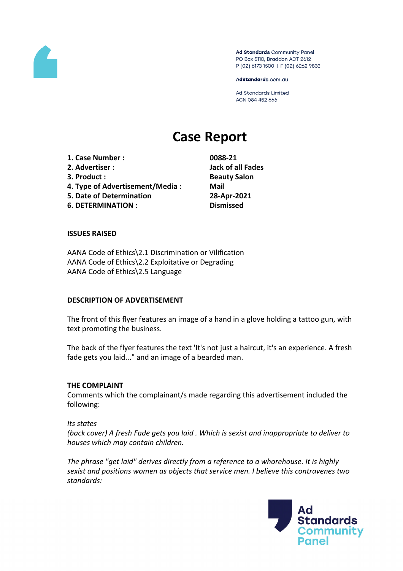

Ad Standards Community Panel PO Box 5110, Braddon ACT 2612 P (02) 6173 1500 | F (02) 6262 9833

AdStandards.com.au

Ad Standards Limited ACN 084 452 666

# **Case Report**

**1. Case Number : 0088-21 2. Advertiser : Jack of all Fades 3. Product : Beauty Salon 4. Type of Advertisement/Media : Mail 5. Date of Determination 28-Apr-2021 6. DETERMINATION : Dismissed**

## **ISSUES RAISED**

AANA Code of Ethics\2.1 Discrimination or Vilification AANA Code of Ethics\2.2 Exploitative or Degrading AANA Code of Ethics\2.5 Language

## **DESCRIPTION OF ADVERTISEMENT**

The front of this flyer features an image of a hand in a glove holding a tattoo gun, with text promoting the business.

The back of the flyer features the text 'It's not just a haircut, it's an experience. A fresh fade gets you laid..." and an image of a bearded man.

#### **THE COMPLAINT**

Comments which the complainant/s made regarding this advertisement included the following:

#### *Its states*

*(back cover) A fresh Fade gets you laid . Which is sexist and inappropriate to deliver to houses which may contain children.*

*The phrase "get laid" derives directly from a reference to a whorehouse. It is highly sexist and positions women as objects that service men. I believe this contravenes two standards:*

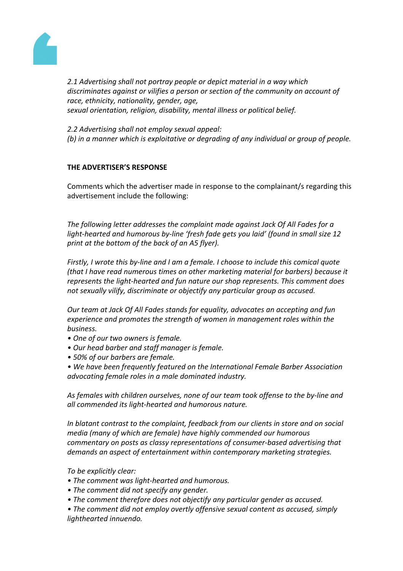

*2.1 Advertising shall not portray people or depict material in a way which discriminates against or vilifies a person or section of the community on account of race, ethnicity, nationality, gender, age, sexual orientation, religion, disability, mental illness or political belief.*

*2.2 Advertising shall not employ sexual appeal: (b) in a manner which is exploitative or degrading of any individual or group of people.*

# **THE ADVERTISER'S RESPONSE**

Comments which the advertiser made in response to the complainant/s regarding this advertisement include the following:

*The following letter addresses the complaint made against Jack Of All Fades for a light-hearted and humorous by-line 'fresh fade gets you laid' (found in small size 12 print at the bottom of the back of an A5 flyer).*

*Firstly, I wrote this by-line and I am a female. I choose to include this comical quote (that I have read numerous times on other marketing material for barbers) because it represents the light-hearted and fun nature our shop represents. This comment does not sexually vilify, discriminate or objectify any particular group as accused.*

*Our team at Jack Of All Fades stands for equality, advocates an accepting and fun experience and promotes the strength of women in management roles within the business.*

- *• One of our two owners is female.*
- *• Our head barber and staff manager is female.*
- *• 50% of our barbers are female.*
- *• We have been frequently featured on the International Female Barber Association advocating female roles in a male dominated industry.*

*As females with children ourselves, none of our team took offense to the by-line and all commended its light-hearted and humorous nature.*

*In blatant contrast to the complaint, feedback from our clients in store and on social media (many of which are female) have highly commended our humorous commentary on posts as classy representations of consumer-based advertising that demands an aspect of entertainment within contemporary marketing strategies.*

*To be explicitly clear:*

- *• The comment was light-hearted and humorous.*
- *• The comment did not specify any gender.*
- *• The comment therefore does not objectify any particular gender as accused.*
- *• The comment did not employ overtly offensive sexual content as accused, simply lighthearted innuendo.*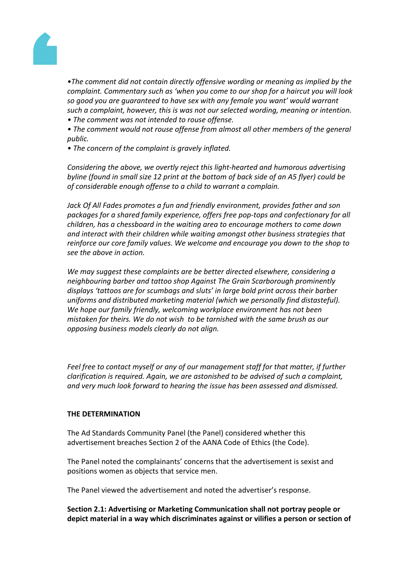

*•The comment did not contain directly offensive wording or meaning as implied by the complaint. Commentary such as 'when you come to our shop for a haircut you will look so good you are guaranteed to have sex with any female you want' would warrant such a complaint, however, this is was not our selected wording, meaning or intention.* 

- *• The comment was not intended to rouse offense.*
- *• The comment would not rouse offense from almost all other members of the general public.*
- *• The concern of the complaint is gravely inflated.*

*Considering the above, we overtly reject this light-hearted and humorous advertising byline (found in small size 12 print at the bottom of back side of an A5 flyer) could be of considerable enough offense to a child to warrant a complain.*

*Jack Of All Fades promotes a fun and friendly environment, provides father and son packages for a shared family experience, offers free pop-tops and confectionary for all children, has a chessboard in the waiting area to encourage mothers to come down and interact with their children while waiting amongst other business strategies that reinforce our core family values. We welcome and encourage you down to the shop to see the above in action.*

*We may suggest these complaints are be better directed elsewhere, considering a neighbouring barber and tattoo shop Against The Grain Scarborough prominently displays 'tattoos are for scumbags and sluts' in large bold print across their barber uniforms and distributed marketing material (which we personally find distasteful). We hope our family friendly, welcoming workplace environment has not been mistaken for theirs. We do not wish to be tarnished with the same brush as our opposing business models clearly do not align.*

*Feel free to contact myself or any of our management staff for that matter, if further clarification is required. Again, we are astonished to be advised of such a complaint, and very much look forward to hearing the issue has been assessed and dismissed.*

# **THE DETERMINATION**

The Ad Standards Community Panel (the Panel) considered whether this advertisement breaches Section 2 of the AANA Code of Ethics (the Code).

The Panel noted the complainants' concerns that the advertisement is sexist and positions women as objects that service men.

The Panel viewed the advertisement and noted the advertiser's response.

**Section 2.1: Advertising or Marketing Communication shall not portray people or depict material in a way which discriminates against or vilifies a person or section of**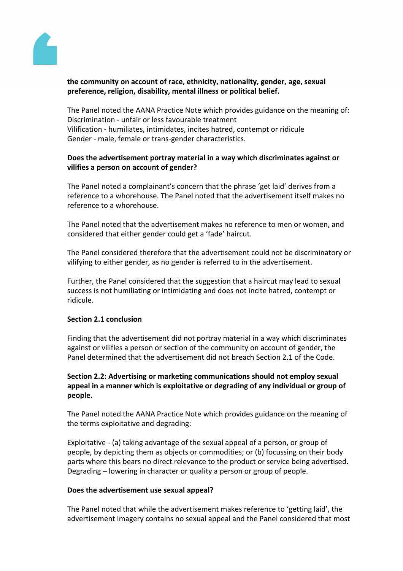

# **the community on account of race, ethnicity, nationality, gender, age, sexual preference, religion, disability, mental illness or political belief.**

The Panel noted the AANA Practice Note which provides guidance on the meaning of: Discrimination - unfair or less favourable treatment Vilification - humiliates, intimidates, incites hatred, contempt or ridicule Gender - male, female or trans-gender characteristics.

# **Does the advertisement portray material in a way which discriminates against or vilifies a person on account of gender?**

The Panel noted a complainant's concern that the phrase 'get laid' derives from a reference to a whorehouse. The Panel noted that the advertisement itself makes no reference to a whorehouse.

The Panel noted that the advertisement makes no reference to men or women, and considered that either gender could get a 'fade' haircut.

The Panel considered therefore that the advertisement could not be discriminatory or vilifying to either gender, as no gender is referred to in the advertisement.

Further, the Panel considered that the suggestion that a haircut may lead to sexual success is not humiliating or intimidating and does not incite hatred, contempt or ridicule.

## **Section 2.1 conclusion**

Finding that the advertisement did not portray material in a way which discriminates against or vilifies a person or section of the community on account of gender, the Panel determined that the advertisement did not breach Section 2.1 of the Code.

# **Section 2.2: Advertising or marketing communications should not employ sexual appeal in a manner which is exploitative or degrading of any individual or group of people.**

The Panel noted the AANA Practice Note which provides guidance on the meaning of the terms exploitative and degrading:

Exploitative - (a) taking advantage of the sexual appeal of a person, or group of people, by depicting them as objects or commodities; or (b) focussing on their body parts where this bears no direct relevance to the product or service being advertised. Degrading – lowering in character or quality a person or group of people.

## **Does the advertisement use sexual appeal?**

The Panel noted that while the advertisement makes reference to 'getting laid', the advertisement imagery contains no sexual appeal and the Panel considered that most